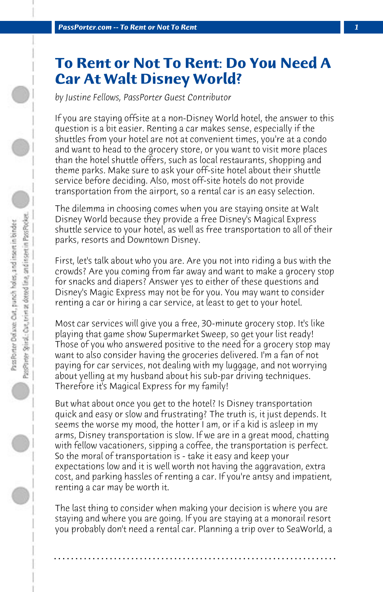## **To Rent or Not To Rent: Do You Need A Car At Walt Disney World?**

*by Justine Fellows, PassPorter Guest Contributor*

If you are staying offsite at a non-Disney World hotel, the answer to this question is a bit easier. Renting a car makes sense, especially if the shuttles from your hotel are not at convenient times, you're at a condo and want to head to the grocery store, or you want to visit more places than the hotel shuttle offers, such as local restaurants, shopping and theme parks. Make sure to ask your off-site hotel about their shuttle service before deciding. Also, most off-site hotels do not provide transportation from the airport, so a rental car is an easy selection.

The dilemma in choosing comes when you are staying onsite at Walt Disney World because they provide a free Disney's Magical Express shuttle service to your hotel, as well as free transportation to all of their parks, resorts and Downtown Disney.

First, let's talk about who you are. Are you not into riding a bus with the crowds? Are you coming from far away and want to make a grocery stop for snacks and diapers? Answer yes to either of these questions and Disney's Magic Express may not be for you. You may want to consider renting a car or hiring a car service, at least to get to your hotel.

Most car services will give you a free, 30-minute grocery stop. It's like playing that game show Supermarket Sweep, so get your list ready! Those of you who answered positive to the need for a grocery stop may want to also consider having the groceries delivered. I'm a fan of not paying for car services, not dealing with my luggage, and not worrying about yelling at my husband about his sub-par driving techniques. Therefore it's Magical Express for my family!

But what about once you get to the hotel? Is Disney transportation quick and easy or slow and frustrating? The truth is, it just depends. It seems the worse my mood, the hotter I am, or if a kid is asleep in my arms, Disney transportation is slow. If we are in a great mood, chatting with fellow vacationers, sipping a coffee, the transportation is perfect. So the moral of transportation is - take it easy and keep your expectations low and it is well worth not having the aggravation, extra cost, and parking hassles of renting a car. If you're antsy and impatient, renting a car may be worth it.

The last thing to consider when making your decision is where you are staying and where you are going. If you are staying at a monorail resort you probably don't need a rental car. Planning a trip over to SeaWorld, a

**. . . . . . . . . . . . . . . . . . . . . . . . . . . . . . . . . . . . . . . . . . . . . . . . . . . . . . . . . . . . . . . . . .**